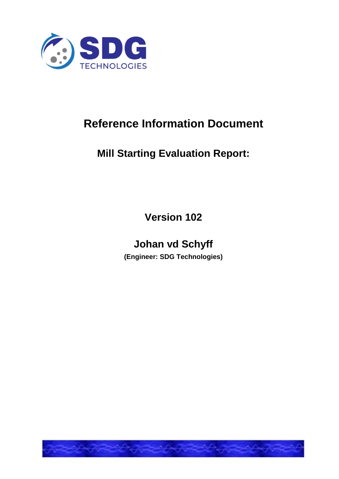

# **Reference Information Document**

## **Mill Starting Evaluation Report:**

**Version 102**

## **Johan vd Schyff**

**(Engineer: SDG Technologies)**

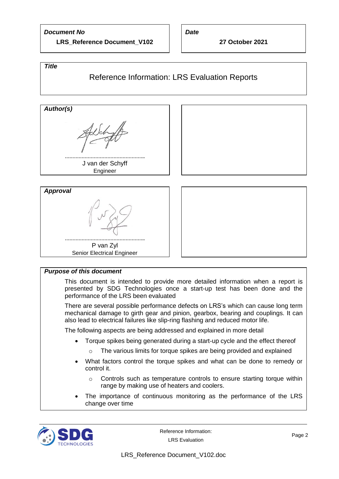#### *Document No*

**LRS\_Reference Document\_V102**

*Date*

**27 October 2021**

#### *Title*

#### Reference Information: LRS Evaluation Reports





#### *Purpose of this document*

This document is intended to provide more detailed information when a report is presented by SDG Technologies once a start-up test has been done and the performance of the LRS been evaluated

There are several possible performance defects on LRS's which can cause long term mechanical damage to girth gear and pinion, gearbox, bearing and couplings. It can also lead to electrical failures like slip-ring flashing and reduced motor life.

The following aspects are being addressed and explained in more detail

- Torque spikes being generated during a start-up cycle and the effect thereof
	- o The various limits for torque spikes are being provided and explained
- What factors control the torque spikes and what can be done to remedy or control it.
	- o Controls such as temperature controls to ensure starting torque within range by making use of heaters and coolers.
- The importance of continuous monitoring as the performance of the LRS change over time

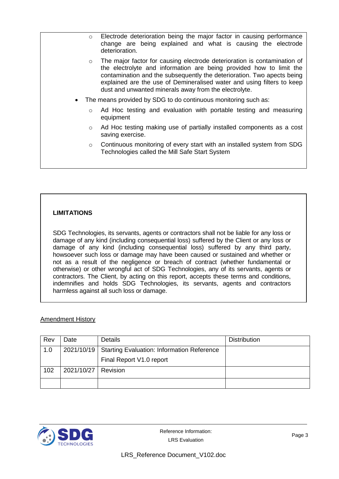| $\circ$ | Electrode deterioration being the major factor in causing performance<br>change are being explained and what is causing the electrode<br>deterioration.                                                                                                                                                                                                      |
|---------|--------------------------------------------------------------------------------------------------------------------------------------------------------------------------------------------------------------------------------------------------------------------------------------------------------------------------------------------------------------|
| $\circ$ | The major factor for causing electrode deterioration is contamination of<br>the electrolyte and information are being provided how to limit the<br>contamination and the subsequently the deterioration. Two apects being<br>explained are the use of Demineralised water and using filters to keep<br>dust and unwanted minerals away from the electrolyte. |
|         | The means provided by SDG to do continuous monitoring such as:                                                                                                                                                                                                                                                                                               |
| $\circ$ | Ad Hoc testing and evaluation with portable testing and measuring<br>equipment                                                                                                                                                                                                                                                                               |
| $\circ$ | Ad Hoc testing making use of partially installed components as a cost<br>saving exercise.                                                                                                                                                                                                                                                                    |
| $\circ$ | Continuous monitoring of every start with an installed system from SDG<br>Technologies called the Mill Safe Start System                                                                                                                                                                                                                                     |
|         |                                                                                                                                                                                                                                                                                                                                                              |
|         |                                                                                                                                                                                                                                                                                                                                                              |

#### **LIMITATIONS**

SDG Technologies, its servants, agents or contractors shall not be liable for any loss or damage of any kind (including consequential loss) suffered by the Client or any loss or damage of any kind (including consequential loss) suffered by any third party, howsoever such loss or damage may have been caused or sustained and whether or not as a result of the negligence or breach of contract (whether fundamental or otherwise) or other wrongful act of SDG Technologies, any of its servants, agents or contractors. The Client, by acting on this report, accepts these terms and conditions, indemnifies and holds SDG Technologies, its servants, agents and contractors harmless against all such loss or damage.

#### Amendment History

| Rev | Date                  | Details                                                 | <b>Distribution</b> |
|-----|-----------------------|---------------------------------------------------------|---------------------|
| 1.0 |                       | 2021/10/19   Starting Evaluation: Information Reference |                     |
|     |                       | Final Report V1.0 report                                |                     |
| 102 | 2021/10/27   Revision |                                                         |                     |
|     |                       |                                                         |                     |

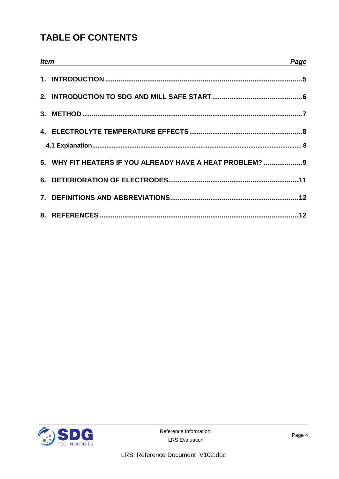## **TABLE OF CONTENTS**

| <b>Item</b> |                                                           |  |
|-------------|-----------------------------------------------------------|--|
|             |                                                           |  |
|             |                                                           |  |
|             |                                                           |  |
|             |                                                           |  |
|             |                                                           |  |
|             | 5. WHY FIT HEATERS IF YOU ALREADY HAVE A HEAT PROBLEM?  9 |  |
|             |                                                           |  |
|             |                                                           |  |
|             |                                                           |  |

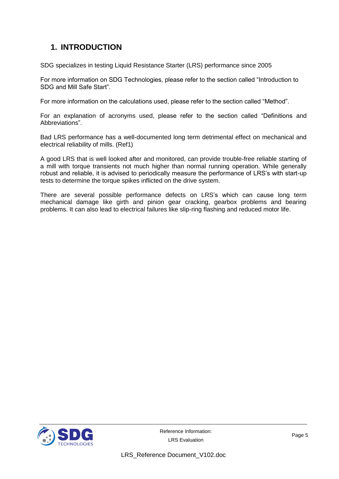### **1. INTRODUCTION**

SDG specializes in testing Liquid Resistance Starter (LRS) performance since 2005

For more information on SDG Technologies, please refer to the section called "Introduction to SDG and Mill Safe Start".

For more information on the calculations used, please refer to the section called "Method".

For an explanation of acronyms used, please refer to the section called "Definitions and Abbreviations".

Bad LRS performance has a well-documented long term detrimental effect on mechanical and electrical reliability of mills. (Ref1)

A good LRS that is well looked after and monitored, can provide trouble-free reliable starting of a mill with torque transients not much higher than normal running operation. While generally robust and reliable, it is advised to periodically measure the performance of LRS's with start-up tests to determine the torque spikes inflicted on the drive system.

There are several possible performance defects on LRS's which can cause long term mechanical damage like girth and pinion gear cracking, gearbox problems and bearing problems. It can also lead to electrical failures like slip-ring flashing and reduced motor life.

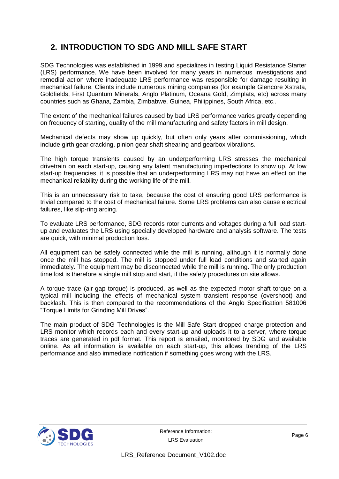### **2. INTRODUCTION TO SDG AND MILL SAFE START**

SDG Technologies was established in 1999 and specializes in testing Liquid Resistance Starter (LRS) performance. We have been involved for many years in numerous investigations and remedial action where inadequate LRS performance was responsible for damage resulting in mechanical failure. Clients include numerous mining companies (for example Glencore Xstrata, Goldfields, First Quantum Minerals, Anglo Platinum, Oceana Gold, Zimplats, etc) across many countries such as Ghana, Zambia, Zimbabwe, Guinea, Philippines, South Africa, etc..

The extent of the mechanical failures caused by bad LRS performance varies greatly depending on frequency of starting, quality of the mill manufacturing and safety factors in mill design.

Mechanical defects may show up quickly, but often only years after commissioning, which include girth gear cracking, pinion gear shaft shearing and gearbox vibrations.

The high torque transients caused by an underperforming LRS stresses the mechanical drivetrain on each start-up, causing any latent manufacturing imperfections to show up. At low start-up frequencies, it is possible that an underperforming LRS may not have an effect on the mechanical reliability during the working life of the mill.

This is an unnecessary risk to take, because the cost of ensuring good LRS performance is trivial compared to the cost of mechanical failure. Some LRS problems can also cause electrical failures, like slip-ring arcing.

To evaluate LRS performance, SDG records rotor currents and voltages during a full load startup and evaluates the LRS using specially developed hardware and analysis software. The tests are quick, with minimal production loss.

All equipment can be safely connected while the mill is running, although it is normally done once the mill has stopped. The mill is stopped under full load conditions and started again immediately. The equipment may be disconnected while the mill is running. The only production time lost is therefore a single mill stop and start, if the safety procedures on site allows.

A torque trace (air-gap torque) is produced, as well as the expected motor shaft torque on a typical mill including the effects of mechanical system transient response (overshoot) and backlash. This is then compared to the recommendations of the Anglo Specification 581006 "Torque Limits for Grinding Mill Drives".

The main product of SDG Technologies is the Mill Safe Start dropped charge protection and LRS monitor which records each and every start-up and uploads it to a server, where torque traces are generated in pdf format. This report is emailed, monitored by SDG and available online. As all information is available on each start-up, this allows trending of the LRS performance and also immediate notification if something goes wrong with the LRS.

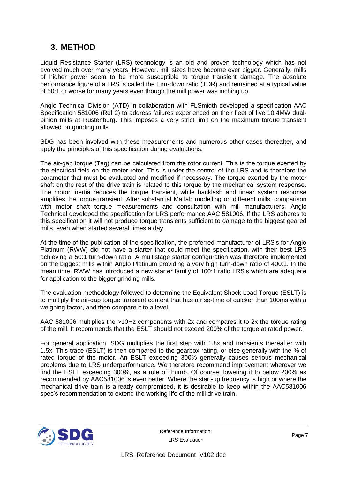#### **3. METHOD**

Liquid Resistance Starter (LRS) technology is an old and proven technology which has not evolved much over many years. However, mill sizes have become ever bigger. Generally, mills of higher power seem to be more susceptible to torque transient damage. The absolute performance figure of a LRS is called the turn-down ratio (TDR) and remained at a typical value of 50:1 or worse for many years even though the mill power was inching up.

Anglo Technical Division (ATD) in collaboration with FLSmidth developed a specification AAC Specification 581006 (Ref 2) to address failures experienced on their fleet of five 10.4MW dualpinion mills at Rustenburg. This imposes a very strict limit on the maximum torque transient allowed on grinding mills.

SDG has been involved with these measurements and numerous other cases thereafter, and apply the principles of this specification during evaluations.

The air-gap torque (Tag) can be calculated from the rotor current. This is the torque exerted by the electrical field on the motor rotor. This is under the control of the LRS and is therefore the parameter that must be evaluated and modified if necessary. The torque exerted by the motor shaft on the rest of the drive train is related to this torque by the mechanical system response. The motor inertia reduces the torque transient, while backlash and linear system response amplifies the torque transient. After substantial Matlab modelling on different mills, comparison with motor shaft torque measurements and consultation with mill manufacturers, Anglo Technical developed the specification for LRS performance AAC 581006. If the LRS adheres to this specification it will not produce torque transients sufficient to damage to the biggest geared mills, even when started several times a day.

At the time of the publication of the specification, the preferred manufacturer of LRS's for Anglo Platinum (RWW) did not have a starter that could meet the specification, with their best LRS achieving a 50:1 turn-down ratio. A multistage starter configuration was therefore implemented on the biggest mills within Anglo Platinum providing a very high turn-down ratio of 400:1. In the mean time, RWW has introduced a new starter family of 100:1 ratio LRS's which are adequate for application to the bigger grinding mills.

The evaluation methodology followed to determine the Equivalent Shock Load Torque (ESLT) is to multiply the air-gap torque transient content that has a rise-time of quicker than 100ms with a weighing factor, and then compare it to a level.

AAC 581006 multiplies the >10Hz components with 2x and compares it to 2x the torque rating of the mill. It recommends that the ESLT should not exceed 200% of the torque at rated power.

For general application, SDG multiplies the first step with 1.8x and transients thereafter with 1.5x. This trace (ESLT) is then compared to the gearbox rating, or else generally with the % of rated torque of the motor. An ESLT exceeding 300% generally causes serious mechanical problems due to LRS underperformance. We therefore recommend improvement wherever we find the ESLT exceeding 300%, as a rule of thumb. Of course, lowering it to below 200% as recommended by AAC581006 is even better. Where the start-up frequency is high or where the mechanical drive train is already compromised, it is desirable to keep within the AAC581006 spec's recommendation to extend the working life of the mill drive train.

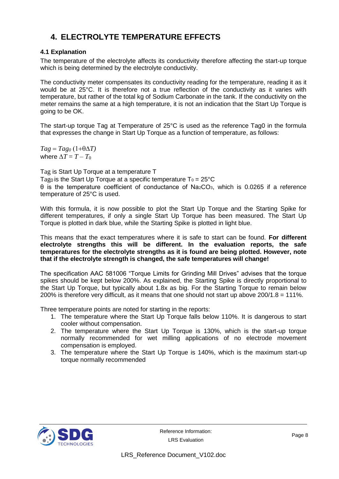### **4. ELECTROLYTE TEMPERATURE EFFECTS**

#### **4.1 Explanation**

The temperature of the electrolyte affects its conductivity therefore affecting the start-up torque which is being determined by the electrolyte conductivity.

The conductivity meter compensates its conductivity reading for the temperature, reading it as it would be at 25°C. It is therefore not a true reflection of the conductivity as it varies with temperature, but rather of the total kg of Sodium Carbonate in the tank. If the conductivity on the meter remains the same at a high temperature, it is not an indication that the Start Up Torque is going to be OK.

The start-up torque Tag at Temperature of 25°C is used as the reference Tag0 in the formula that expresses the change in Start Up Torque as a function of temperature, as follows:

 $Tag = Tag<sub>0</sub> (1+\theta \Delta T)$ where  $\Delta T = T - T_0$ 

Tag is Start Up Torque at a temperature T Tago is the Start Up Torque at a specific temperature  $To = 25^{\circ}C$ θ is the temperature coefficient of conductance of Na2CO3, which is 0.0265 if a reference temperature of 25°C is used.

With this formula, it is now possible to plot the Start Up Torque and the Starting Spike for different temperatures, if only a single Start Up Torque has been measured. The Start Up Torque is plotted in dark blue, while the Starting Spike is plotted in light blue.

This means that the exact temperatures where it is safe to start can be found. **For different electrolyte strengths this will be different. In the evaluation reports, the safe temperatures for the electrolyte strengths as it is found are being plotted. However, note that if the electrolyte strength is changed, the safe temperatures will change!**

The specification AAC 581006 "Torque Limits for Grinding Mill Drives" advises that the torque spikes should be kept below 200%. As explained, the Starting Spike is directly proportional to the Start Up Torque, but typically about 1.8x as big. For the Starting Torque to remain below 200% is therefore very difficult, as it means that one should not start up above 200/1.8 = 111%.

Three temperature points are noted for starting in the reports:

- 1. The temperature where the Start Up Torque falls below 110%. It is dangerous to start cooler without compensation.
- 2. The temperature where the Start Up Torque is 130%, which is the start-up torque normally recommended for wet milling applications of no electrode movement compensation is employed.
- 3. The temperature where the Start Up Torque is 140%, which is the maximum start-up torque normally recommended

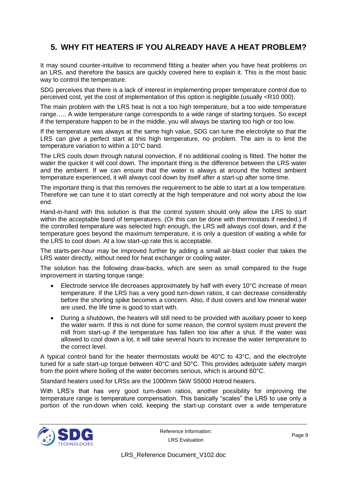### **5. WHY FIT HEATERS IF YOU ALREADY HAVE A HEAT PROBLEM?**

It may sound counter-intuitive to recommend fitting a heater when you have heat problems on an LRS, and therefore the basics are quickly covered here to explain it. This is the most basic way to control the temperature.

SDG perceives that there is a lack of interest in implementing proper temperature control due to perceived cost, yet the cost of implementation of this option is negligible.(usually <R10 000).

The main problem with the LRS heat is not a too high temperature, but a too wide temperature range….. A wide temperature range corresponds to a wide range of starting torques. So except if the temperature happen to be in the middle, you will always be starting too high or too low.

If the temperature was always at the same high value, SDG can tune the electrolyte so that the LRS can give a perfect start at this high temperature, no problem. The aim is to limit the temperature variation to within a 10°C band.

The LRS cools down through natural convection, if no additional cooling is fitted. The hotter the water the quicker it will cool down. The important thing is the difference between the LRS water and the ambient. If we can ensure that the water is always at around the hottest ambient temperature experienced, it will always cool down by itself after a start-up after some time.

The important thing is that this removes the requirement to be able to start at a low temperature. Therefore we can tune it to start correctly at the high temperature and not worry about the low end.

Hand-in-hand with this solution is that the control system should only allow the LRS to start within the acceptable band of temperatures. (Or this can be done with thermostats if needed.) If the controlled temperature was selected high enough, the LRS will always cool down, and if the temperature goes beyond the maximum temperature, it is only a question of waiting a while for the LRS to cool down. At a low start-up rate this is acceptable.

The starts-per-hour may be improved further by adding a small air-blast cooler that takes the LRS water directly, without need for heat exchanger or cooling water.

The solution has the following draw-backs, which are seen as small compared to the huge improvement in starting torque range:

- Electrode service life decreases approximately by half with every 10°C increase of mean temperature. If the LRS has a very good turn-down ratios, it can decrease considerably before the shorting spike becomes a concern. Also, if dust covers and low mineral water are used, the life time is good to start with.
- During a shutdown, the heaters will still need to be provided with auxiliary power to keep the water warm. If this is not done for some reason, the control system must prevent the mill from start-up if the temperature has fallen too low after a shut. If the water was allowed to cool down a lot, it will take several hours to increase the water temperature to the correct level.

A typical control band for the heater thermostats would be  $40^{\circ}$ C to  $43^{\circ}$ C, and the electrolyte tuned for a safe start-up torque between 40°C and 50°C. This provides adequate safety margin from the point where boiling of the water becomes serious, which is around 60°C.

Standard heaters used for LRSs are the 1000mm 5kW S5000 Hotrod heaters.

With LRS's that has very good turn-down ratios, another possibility for improving the temperature range is temperature compensation. This basically "scales" the LRS to use only a portion of the run-down when cold, keeping the start-up constant over a wide temperature

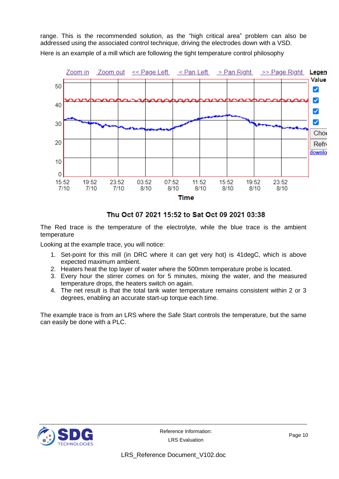range. This is the recommended solution, as the "high critical area" problem can also be addressed using the associated control technique, driving the electrodes down with a VSD. Here is an example of a mill which are following the tight temperature control philosophy



Thu Oct 07 2021 15:52 to Sat Oct 09 2021 03:38

The Red trace is the temperature of the electrolyte, while the blue trace is the ambient temperature

Looking at the example trace, you will notice:

- 1. Set-point for this mill (in DRC where it can get very hot) is 41degC, which is above expected maximum ambient.
- 2. Heaters heat the top layer of water where the 500mm temperature probe is located.
- 3. Every hour the stirrer comes on for 5 minutes, mixing the water, and the measured temperature drops, the heaters switch on again.
- 4. The net result is that the total tank water temperature remains consistent within 2 or 3 degrees, enabling an accurate start-up torque each time.

The example trace is from an LRS where the Safe Start controls the temperature, but the same can easily be done with a PLC.

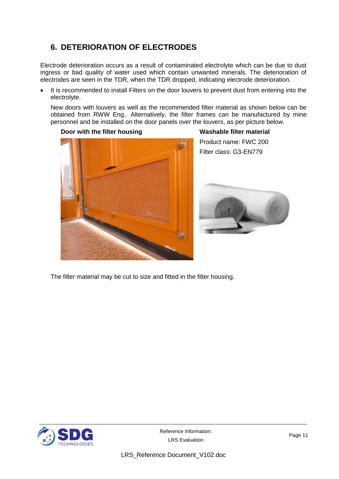### **6. DETERIORATION OF ELECTRODES**

Electrode deterioration occurs as a result of contaminated electrolyte which can be due to dust ingress or bad quality of water used which contain unwanted minerals. The deterioration of electrodes are seen in the TDR, when the TDR dropped, indicating electrode deterioration.

• It is recommended to install Filters on the door louvers to prevent dust from entering into the electrolyte.

New doors with louvers as well as the recommended filter material as shown below can be obtained from RWW Eng.. Alternatively, the filter frames can be manufactured by mine personnel and be installed on the door panels over the louvers, as per picture below.



Product name: FWC 200 Filter class: G3-EN779



The filter material may be cut to size and fitted in the filter housing.



LRS\_Reference Document\_V102.doc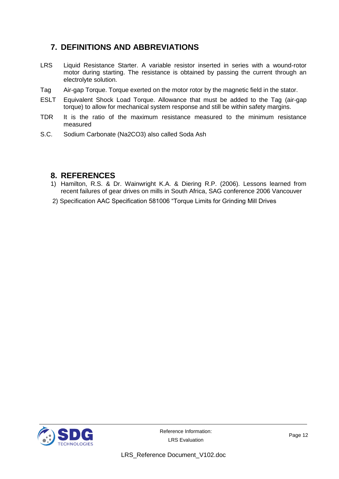### **7. DEFINITIONS AND ABBREVIATIONS**

- LRS Liquid Resistance Starter. A variable resistor inserted in series with a wound-rotor motor during starting. The resistance is obtained by passing the current through an electrolyte solution.
- Tag Air-gap Torque. Torque exerted on the motor rotor by the magnetic field in the stator.
- ESLT Equivalent Shock Load Torque. Allowance that must be added to the Tag (air-gap torque) to allow for mechanical system response and still be within safety margins.
- TDR It is the ratio of the maximum resistance measured to the minimum resistance measured
- S.C. Sodium Carbonate (Na2CO3) also called Soda Ash

#### **8. REFERENCES**

- 1) Hamilton, R.S. & Dr. Wainwright K.A. & Diering R.P. (2006). Lessons learned from recent failures of gear drives on mills in South Africa, SAG conference 2006 Vancouver
- 2) Specification AAC Specification 581006 "Torque Limits for Grinding Mill Drives